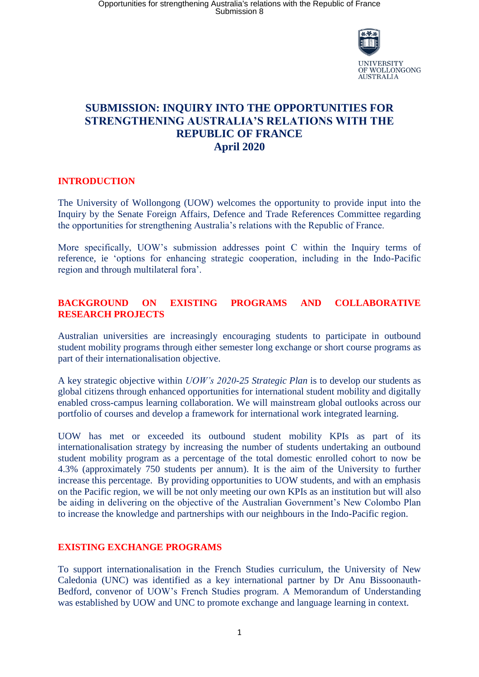

# **SUBMISSION: INQUIRY INTO THE OPPORTUNITIES FOR STRENGTHENING AUSTRALIA'S RELATIONS WITH THE REPUBLIC OF FRANCE April 2020**

# **INTRODUCTION**

The University of Wollongong (UOW) welcomes the opportunity to provide input into the Inquiry by the Senate Foreign Affairs, Defence and Trade References Committee regarding the opportunities for strengthening Australia's relations with the Republic of France.

More specifically, UOW's submission addresses point C within the Inquiry terms of reference, ie 'options for enhancing strategic cooperation, including in the Indo-Pacific region and through multilateral fora'.

# **BACKGROUND ON EXISTING PROGRAMS AND COLLABORATIVE RESEARCH PROJECTS**

Australian universities are increasingly encouraging students to participate in outbound student mobility programs through either semester long exchange or short course programs as part of their internationalisation objective.

A key strategic objective within *UOW's 2020-25 Strategic Plan* is to develop our students as global citizens through enhanced opportunities for international student mobility and digitally enabled cross-campus learning collaboration. We will mainstream global outlooks across our portfolio of courses and develop a framework for international work integrated learning.

UOW has met or exceeded its outbound student mobility KPIs as part of its internationalisation strategy by increasing the number of students undertaking an outbound student mobility program as a percentage of the total domestic enrolled cohort to now be 4.3% (approximately 750 students per annum). It is the aim of the University to further increase this percentage. By providing opportunities to UOW students, and with an emphasis on the Pacific region, we will be not only meeting our own KPIs as an institution but will also be aiding in delivering on the objective of the Australian Government's New Colombo Plan to increase the knowledge and partnerships with our neighbours in the Indo-Pacific region.

# **EXISTING EXCHANGE PROGRAMS**

To support internationalisation in the French Studies curriculum, the University of New Caledonia (UNC) was identified as a key international partner by Dr Anu Bissoonauth-Bedford, convenor of UOW's French Studies program. A Memorandum of Understanding was established by UOW and UNC to promote exchange and language learning in context.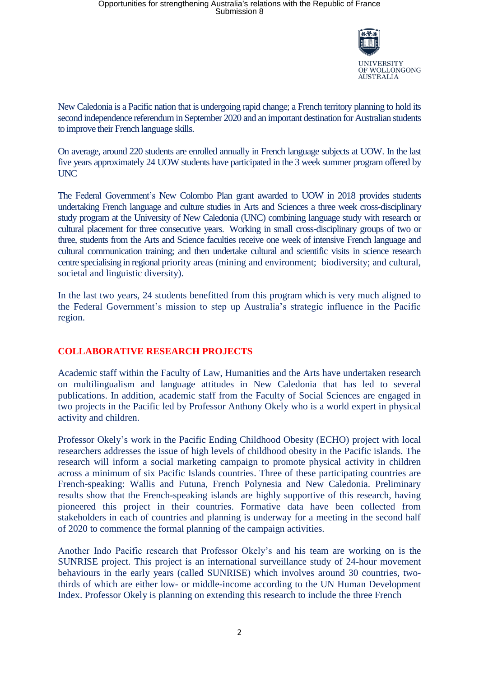

New Caledonia is a Pacific nation that is undergoing rapid change; a French territory planning to hold its second independence referendum in September 2020 and an important destination for Australian students to improve their French language skills.

On average, around 220 students are enrolled annually in French language subjects at UOW. In the last five years approximately 24 UOW students have participated in the 3 week summer program offered by UNC

The Federal Government's New Colombo Plan grant awarded to UOW in 2018 provides students undertaking French language and culture studies in Arts and Sciences a three week cross-disciplinary study program at the University of New Caledonia (UNC) combining language study with research or cultural placement for three consecutive years. Working in small cross-disciplinary groups of two or three, students from the Arts and Science faculties receive one week of intensive French language and cultural communication training; and then undertake cultural and scientific visits in science research centre specialising in regional priority areas (mining and environment; biodiversity; and cultural, societal and linguistic diversity).

In the last two years, 24 students benefitted from this program which is very much aligned to the Federal Government's mission to step up Australia's strategic influence in the Pacific region.

# **COLLABORATIVE RESEARCH PROJECTS**

Academic staff within the Faculty of Law, Humanities and the Arts have undertaken research on multilingualism and language attitudes in New Caledonia that has led to several publications. In addition, academic staff from the Faculty of Social Sciences are engaged in two projects in the Pacific led by Professor Anthony Okely who is a world expert in physical activity and children.

Professor Okely's work in the Pacific Ending Childhood Obesity (ECHO) project with local researchers addresses the issue of high levels of childhood obesity in the Pacific islands. The research will inform a social marketing campaign to promote physical activity in children across a minimum of six Pacific Islands countries. Three of these participating countries are French-speaking: Wallis and Futuna, French Polynesia and New Caledonia. Preliminary results show that the French-speaking islands are highly supportive of this research, having pioneered this project in their countries. Formative data have been collected from stakeholders in each of countries and planning is underway for a meeting in the second half of 2020 to commence the formal planning of the campaign activities.

Another Indo Pacific research that Professor Okely's and his team are working on is the SUNRISE project. This project is an international surveillance study of 24-hour movement behaviours in the early years (called SUNRISE) which involves around 30 countries, twothirds of which are either low- or middle-income according to the UN Human Development Index. Professor Okely is planning on extending this research to include the three French